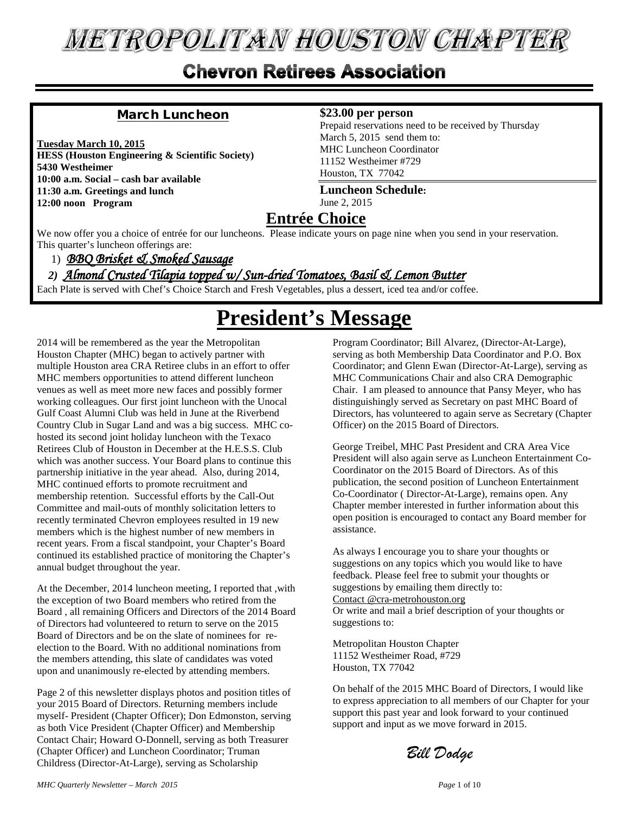# **METROPOLITAN HOUSTON CHAPTER**

# **Chevron Retirees Association**

#### March Luncheon

**Tuesday March 10, 2015 HESS (Houston Engineering & Scientific Society) 5430 Westheimer 10:00 a.m. Social – cash bar available 11:30 a.m. Greetings and lunch 12:00 noon Program**

#### **\$23.00 per person**

Prepaid reservations need to be received by Thursday March 5, 2015 send them to: MHC Luncheon Coordinator 11152 Westheimer #729 Houston, TX 77042

**Luncheon Schedule:** June 2, 2015

#### **Entrée Choice**

We now offer you a choice of entrée for our luncheons. Please indicate yours on page nine when you send in your reservation. This quarter's luncheon offerings are:

1)*BBQ Brisket & Smoked Sausage* 

#### *2)**Almond Crusted Tilapia topped w/ Sun-dried Tomatoes, Basil & Lemon Butter*

Each Plate is served with Chef's Choice Starch and Fresh Vegetables, plus a dessert, iced tea and/or coffee.

# **President's Message**

2014 will be remembered as the year the Metropolitan Houston Chapter (MHC) began to actively partner with multiple Houston area CRA Retiree clubs in an effort to offer MHC members opportunities to attend different luncheon venues as well as meet more new faces and possibly former working colleagues. Our first joint luncheon with the Unocal Gulf Coast Alumni Club was held in June at the Riverbend Country Club in Sugar Land and was a big success. MHC cohosted its second joint holiday luncheon with the Texaco Retirees Club of Houston in December at the H.E.S.S. Club which was another success. Your Board plans to continue this partnership initiative in the year ahead. Also, during 2014, MHC continued efforts to promote recruitment and membership retention. Successful efforts by the Call-Out Committee and mail-outs of monthly solicitation letters to recently terminated Chevron employees resulted in 19 new members which is the highest number of new members in recent years. From a fiscal standpoint, your Chapter's Board continued its established practice of monitoring the Chapter's annual budget throughout the year.

At the December, 2014 luncheon meeting, I reported that ,with the exception of two Board members who retired from the Board , all remaining Officers and Directors of the 2014 Board of Directors had volunteered to return to serve on the 2015 Board of Directors and be on the slate of nominees for reelection to the Board. With no additional nominations from the members attending, this slate of candidates was voted upon and unanimously re-elected by attending members.

Page 2 of this newsletter displays photos and position titles of your 2015 Board of Directors. Returning members include myself- President (Chapter Officer); Don Edmonston, serving as both Vice President (Chapter Officer) and Membership Contact Chair; Howard O-Donnell, serving as both Treasurer (Chapter Officer) and Luncheon Coordinator; Truman Childress (Director-At-Large), serving as Scholarship

Program Coordinator; Bill Alvarez, (Director-At-Large), serving as both Membership Data Coordinator and P.O. Box Coordinator; and Glenn Ewan (Director-At-Large), serving as MHC Communications Chair and also CRA Demographic Chair. I am pleased to announce that Pansy Meyer, who has distinguishingly served as Secretary on past MHC Board of Directors, has volunteered to again serve as Secretary (Chapter Officer) on the 2015 Board of Directors.

George Treibel, MHC Past President and CRA Area Vice President will also again serve as Luncheon Entertainment Co-Coordinator on the 2015 Board of Directors. As of this publication, the second position of Luncheon Entertainment Co-Coordinator ( Director-At-Large), remains open. Any Chapter member interested in further information about this open position is encouraged to contact any Board member for assistance.

As always I encourage you to share your thoughts or suggestions on any topics which you would like to have feedback. Please feel free to submit your thoughts or suggestions by emailing them directly to: Contact @cra-metrohouston.org Or write and mail a brief description of your thoughts or suggestions to:

Metropolitan Houston Chapter 11152 Westheimer Road, #729 Houston, TX 77042

On behalf of the 2015 MHC Board of Directors, I would like to express appreciation to all members of our Chapter for your support this past year and look forward to your continued support and input as we move forward in 2015.

*Bill Dodge*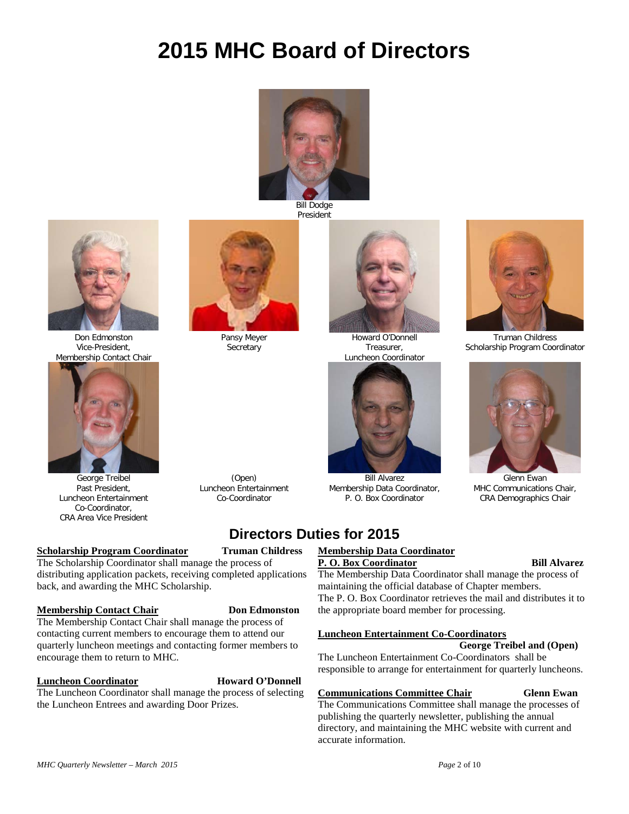# **2015 MHC Board of Directors**



Bill Dodge President



Don Edmonston Vice-President, Membership Contact Chair



George Treibel Past President, Luncheon Entertainment Co-Coordinator, CRA Area Vice President

#### **Scholarship Program Coordinator Truman Childress**

The Scholarship Coordinator shall manage the process of distributing application packets, receiving completed applications back, and awarding the MHC Scholarship.

#### **Membership Contact Chair Don Edmonston**

The Membership Contact Chair shall manage the process of contacting current members to encourage them to attend our quarterly luncheon meetings and contacting former members to encourage them to return to MHC.

#### **Luncheon Coordinator Howard O'Donnell**

The Luncheon Coordinator shall manage the process of selecting the Luncheon Entrees and awarding Door Prizes.

Howard O'Donnell Treasurer, Luncheon Coordinator



Bill Alvarez Membership Data Coordinator, P. O. Box Coordinator

## **Directors Duties for 2015**

#### **Membership Data Coordinator**

#### **P. O. Box Coordinator** Bill Alvarez

The Membership Data Coordinator shall manage the process of maintaining the official database of Chapter members. The P. O. Box Coordinator retrieves the mail and distributes it to the appropriate board member for processing.

#### **Luncheon Entertainment Co-Coordinators**

 **George Treibel and (Open)** The Luncheon Entertainment Co-Coordinators shall be responsible to arrange for entertainment for quarterly luncheons.

#### **Communications Committee Chair Glenn Ewan**

The Communications Committee shall manage the processes of publishing the quarterly newsletter, publishing the annual directory, and maintaining the MHC website with current and accurate information.

Truman Childress Scholarship Program Coordinator



Glenn Ewan MHC Communications Chair, CRA Demographics Chair

Pansy Meyer **Secretary** 

(Open) Luncheon Entertainment Co-Coordinator

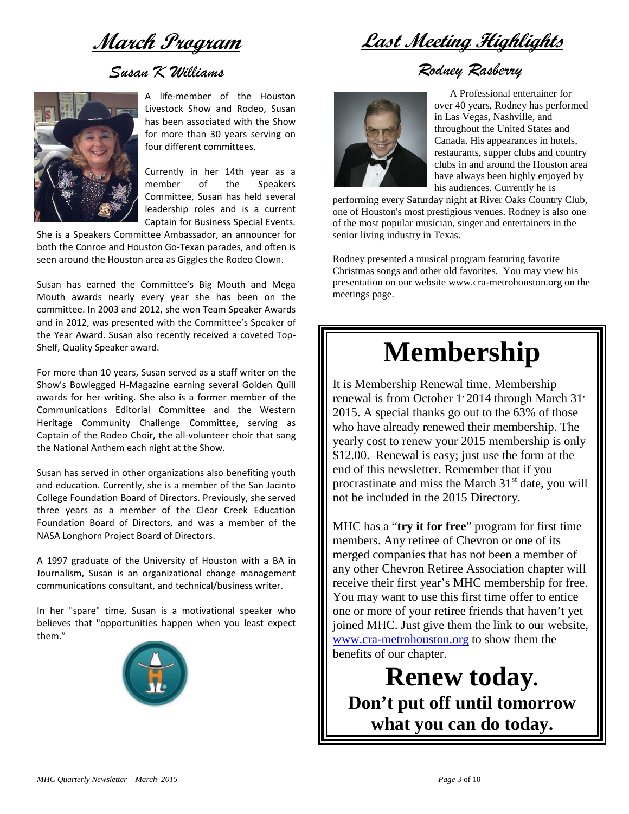**March Program**

## *Susan K Williams*



A life-member of the Houston Livestock Show and Rodeo, Susan has been associated with the Show for more than 30 years serving on four different committees.

Currently in her 14th year as a member of the Speakers Committee, Susan has held several leadership roles and is a current Captain for Business Special Events.

She is a Speakers Committee Ambassador, an announcer for both the Conroe and Houston Go-Texan parades, and often is seen around the Houston area as Giggles the Rodeo Clown.

Susan has earned the Committee's Big Mouth and Mega Mouth awards nearly every year she has been on the committee. In 2003 and 2012, she won Team Speaker Awards and in 2012, was presented with the Committee's Speaker of the Year Award. Susan also recently received a coveted Top-Shelf, Quality Speaker award.

For more than 10 years, Susan served as a staff writer on the Show's Bowlegged H-Magazine earning several Golden Quill awards for her writing. She also is a former member of the Communications Editorial Committee and the Western Heritage Community Challenge Committee, serving as Captain of the Rodeo Choir, the all-volunteer choir that sang the National Anthem each night at the Show.

Susan has served in other organizations also benefiting youth and education. Currently, she is a member of the San Jacinto College Foundation Board of Directors. Previously, she served three years as a member of the Clear Creek Education Foundation Board of Directors, and was a member of the NASA Longhorn Project Board of Directors.

A 1997 graduate of the University of Houston with a BA in Journalism, Susan is an organizational change management communications consultant, and technical/business writer.

In her "spare" time, Susan is a motivational speaker who believes that "opportunities happen when you least expect them."



**Last Meeting Highlights**

## *Rodney Rasberry*



A Professional entertainer for over 40 years, Rodney has performed in Las Vegas, Nashville, and throughout the United States and Canada. His appearances in hotels, restaurants, supper clubs and country clubs in and around the Houston area have always been highly enjoyed by his audiences. Currently he is

performing every Saturday night at River Oaks Country Club, one of Houston's most prestigious venues. Rodney is also one of the most popular musician, singer and entertainers in the senior living industry in Texas.

Rodney presented a musical program featuring favorite Christmas songs and other old favorites. You may view his presentation on our websit[e www.cra-metrohouston.org](http://www.cra-metrohouston.org/) on the meetings page.

# **Membership**

It is Membership Renewal time. Membership renewal is from October 1<sup>,</sup> 2014 through March 31<sup>,</sup> 2015. A special thanks go out to the 63% of those who have already renewed their membership. The yearly cost to renew your 2015 membership is only \$12.00. Renewal is easy; just use the form at the end of this newsletter. Remember that if you procrastinate and miss the March  $31<sup>st</sup>$  date, you will not be included in the 2015 Directory.

MHC has a "**try it for free**" program for first time members. Any retiree of Chevron or one of its merged companies that has not been a member of any other Chevron Retiree Association chapter will receive their first year's MHC membership for free. You may want to use this first time offer to entice one or more of your retiree friends that haven't yet joined MHC. Just give them the link to our website, [www.cra-metrohouston.org](http://www.cra-metrohouston.org/) to show them the benefits of our chapter.

**Renew today. Don't put off until tomorrow what you can do today.**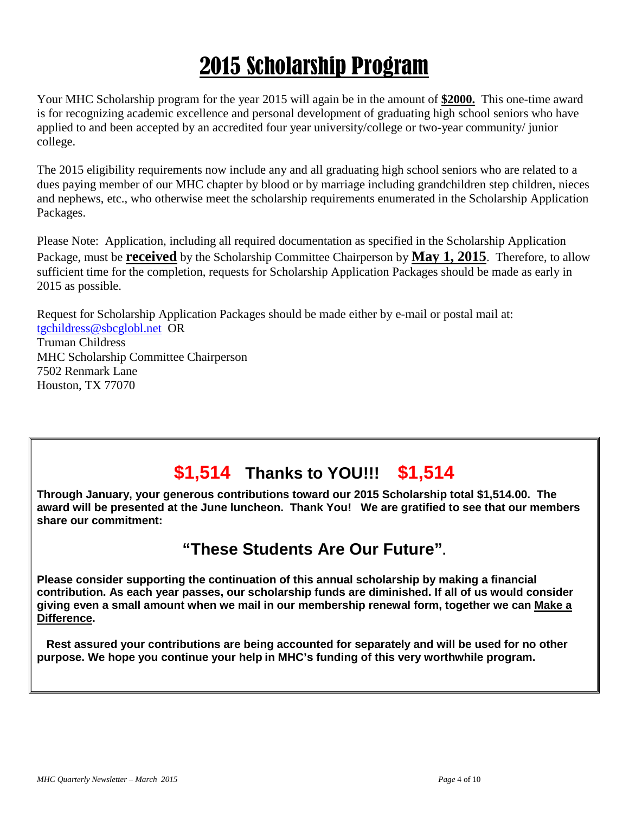# 2015 Scholarship Program

Your MHC Scholarship program for the year 2015 will again be in the amount of **\$2000.** This one-time award is for recognizing academic excellence and personal development of graduating high school seniors who have applied to and been accepted by an accredited four year university/college or two-year community/ junior college.

The 2015 eligibility requirements now include any and all graduating high school seniors who are related to a dues paying member of our MHC chapter by blood or by marriage including grandchildren step children, nieces and nephews, etc., who otherwise meet the scholarship requirements enumerated in the Scholarship Application Packages.

Please Note: Application, including all required documentation as specified in the Scholarship Application Package, must be **received** by the Scholarship Committee Chairperson by **May 1, 2015**. Therefore, to allow sufficient time for the completion, requests for Scholarship Application Packages should be made as early in 2015 as possible.

Request for Scholarship Application Packages should be made either by e-mail or postal mail at: [tgchildress@sbcglobl.net](mailto:tgchildress@sbcglobl.net) OR Truman Childress MHC Scholarship Committee Chairperson 7502 Renmark Lane

# **\$1,514 Thanks to YOU!!! \$1,514**

**Through January, your generous contributions toward our 2015 Scholarship total \$1,514.00. The award will be presented at the June luncheon. Thank You! We are gratified to see that our members share our commitment:**

# **"These Students Are Our Future".**

**Please consider supporting the continuation of this annual scholarship by making a financial contribution. As each year passes, our scholarship funds are diminished. If all of us would consider giving even a small amount when we mail in our membership renewal form, together we can Make a Difference.**

 **Rest assured your contributions are being accounted for separately and will be used for no other purpose. We hope you continue your help in MHC's funding of this very worthwhile program.**

Houston, TX 77070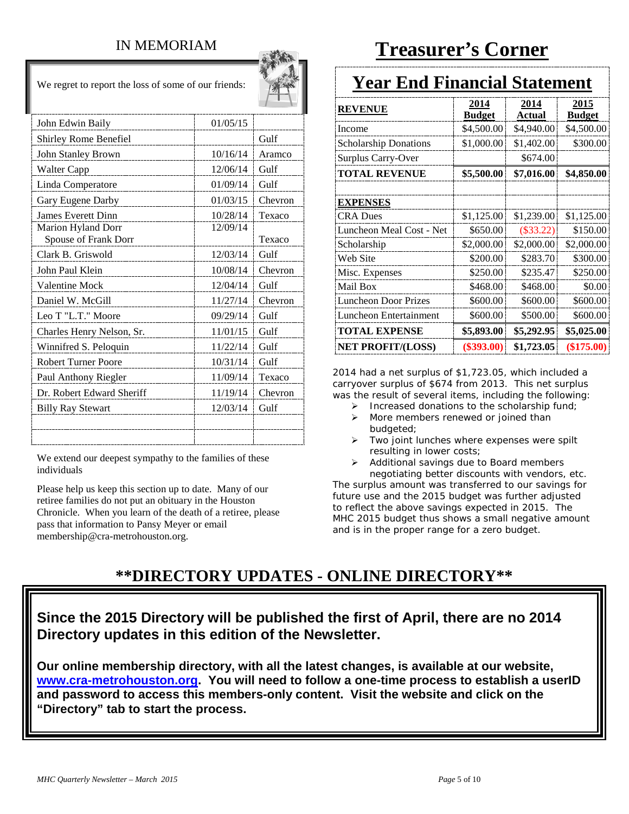### IN MEMORIAM

We regret to report the loss of some of our friends:

 $\sim 10$ 

| John Edwin Baily                           | 01/05/15 |         |
|--------------------------------------------|----------|---------|
| Shirley Rome Benefiel                      |          | Gulf    |
| John Stanley Brown                         | 10/16/14 | Aramco  |
| Walter Capp                                | 12/06/14 | Gulf    |
| Linda Comperatore                          | 01/09/14 | Gulf    |
| Gary Eugene Darby                          | 01/03/15 | Chevron |
| <b>James Everett Dinn</b>                  | 10/28/14 | Texaco  |
| Marion Hyland Dorr<br>Spouse of Frank Dorr | 12/09/14 | Texaco  |
| Clark B. Griswold                          | 12/03/14 | Gulf    |
| John Paul Klein                            | 10/08/14 | Chevron |
| <b>Valentine Mock</b>                      | 12/04/14 | Gulf    |
| Daniel W. McGill                           | 11/27/14 | Chevron |
| Leo T "L.T." Moore                         | 09/29/14 | Gulf    |
| Charles Henry Nelson, Sr.                  | 11/01/15 | Gulf    |
| Winnifred S. Peloquin                      | 11/22/14 | Gulf    |
| <b>Robert Turner Poore</b>                 | 10/31/14 | Gulf    |
| Paul Anthony Riegler                       | 11/09/14 | Texaco  |
| Dr. Robert Edward Sheriff                  | 11/19/14 | Chevron |
| <b>Billy Ray Stewart</b>                   | 12/03/14 | Gulf    |
|                                            |          |         |
|                                            |          |         |

We extend our deepest sympathy to the families of these individuals

Please help us keep this section up to date. Many of our retiree families do not put an obituary in the Houston Chronicle. When you learn of the death of a retiree, please pass that information to Pansy Meyer or email membership@cra-metrohouston.org.

# **Treasurer's Corner**

# **Year End Financial Statement**

| <b>REVENUE</b>                | 2014<br><b>Budget</b> | 2014<br>Actual | 2015<br><b>Budget</b> |
|-------------------------------|-----------------------|----------------|-----------------------|
| Income                        | \$4,500.00            | \$4,940.00     | \$4,500.00            |
| <b>Scholarship Donations</b>  | \$1,000.00            | \$1,402.00     | \$300.00              |
| Surplus Carry-Over            |                       | \$674.00       |                       |
| <b>TOTAL REVENUE</b>          | \$5,500.00            | \$7,016.00     | \$4,850.00            |
|                               |                       |                |                       |
| <b>EXPENSES</b>               |                       |                |                       |
| <b>CRA</b> Dues               | \$1,125.00            | \$1,239.00     | \$1,125.00            |
| Luncheon Meal Cost - Net      | \$650.00              | $(\$33.22)$    | \$150.00              |
| Scholarship                   | \$2,000.00            | \$2,000.00     | \$2,000.00            |
| Web Site                      | \$200.00              | \$283.70       | \$300.00              |
| Misc. Expenses                | \$250.00              | \$235.47       | \$250.00              |
| Mail Box                      | \$468.00              | \$468.00       | \$0.00                |
| <b>Luncheon Door Prizes</b>   | \$600.00              | \$600.00       | \$600.00              |
| <b>Luncheon Entertainment</b> | \$600.00              | \$500.00       | \$600.00              |
| <b>TOTAL EXPENSE</b>          | \$5,893.00            | \$5,292.95     | \$5,025.00            |
| <b>NET PROFIT/(LOSS)</b>      | $(\$393.00)$          | \$1,723.05     | $(\$175.00)$          |

2014 had a net surplus of \$1,723.05, which included a carryover surplus of \$674 from 2013. This net surplus was the result of several items, including the following:

- $\triangleright$  Increased donations to the scholarship fund;
- More members renewed or joined than budgeted;
- > Two joint lunches where expenses were spilt resulting in lower costs;
- Additional savings due to Board members negotiating better discounts with vendors, etc.

The surplus amount was transferred to our savings for future use and the 2015 budget was further adjusted to reflect the above savings expected in 2015. The MHC 2015 budget thus shows a small negative amount and is in the proper range for a zero budget.

# **\*\*DIRECTORY UPDATES - ONLINE DIRECTORY\*\***

### **Since the 2015 Directory will be published the first of April, there are no 2014 Directory updates in this edition of the Newsletter.**

**Our online membership directory, with all the latest changes, is available at our website, [www.cra-metrohouston.org.](http://www.cra-metrohouston.org/) You will need to follow a one-time process to establish a userID and password to access this members-only content. Visit the website and click on the "Directory" tab to start the process.**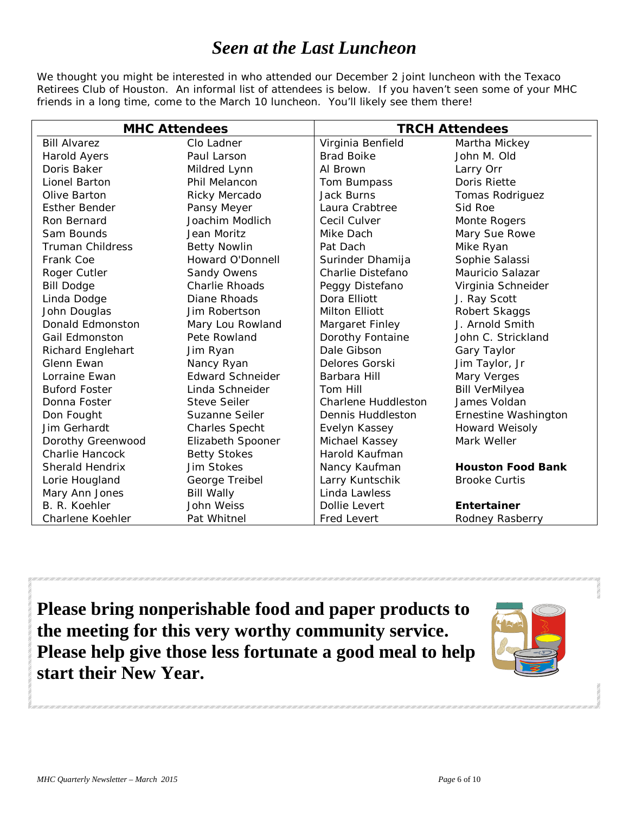# *Seen at the Last Luncheon*

We thought you might be interested in who attended our December 2 joint luncheon with the Texaco Retirees Club of Houston. An informal list of attendees is below. If you haven't seen some of your MHC friends in a long time, come to the March 10 luncheon. You'll likely see them there!

| <b>MHC Attendees</b>     |                         | <b>TRCH Attendees</b>      |                          |  |
|--------------------------|-------------------------|----------------------------|--------------------------|--|
| <b>Bill Alvarez</b>      | Clo Ladner              | Virginia Benfield          | Martha Mickey            |  |
| Harold Ayers             | Paul Larson             | <b>Brad Boike</b>          | John M. Old              |  |
| Doris Baker              | Mildred Lynn            | Al Brown                   | Larry Orr                |  |
| Lionel Barton            | Phil Melancon           | Tom Bumpass                | Doris Riette             |  |
| Olive Barton             | Ricky Mercado           | <b>Jack Burns</b>          | Tomas Rodriguez          |  |
| <b>Esther Bender</b>     | Pansy Meyer             | Laura Crabtree             | Sid Roe                  |  |
| Ron Bernard              | Joachim Modlich         | Cecil Culver               | Monte Rogers             |  |
| Sam Bounds               | Jean Moritz             | Mike Dach                  | Mary Sue Rowe            |  |
| <b>Truman Childress</b>  | <b>Betty Nowlin</b>     | Pat Dach                   | Mike Ryan                |  |
| Frank Coe                | Howard O'Donnell        | Surinder Dhamija           | Sophie Salassi           |  |
| Roger Cutler             | Sandy Owens             | Charlie Distefano          | Mauricio Salazar         |  |
| <b>Bill Dodge</b>        | <b>Charlie Rhoads</b>   | Peggy Distefano            | Virginia Schneider       |  |
| Linda Dodge              | Diane Rhoads            | Dora Elliott               | J. Ray Scott             |  |
| John Douglas             | Jim Robertson           | <b>Milton Elliott</b>      | Robert Skaggs            |  |
| Donald Edmonston         | Mary Lou Rowland        | Margaret Finley            | J. Arnold Smith          |  |
| Gail Edmonston           | Pete Rowland            | Dorothy Fontaine           | John C. Strickland       |  |
| <b>Richard Englehart</b> | Jim Ryan                | Dale Gibson                | Gary Taylor              |  |
| Glenn Ewan               | Nancy Ryan              | Delores Gorski             | Jim Taylor, Jr           |  |
| Lorraine Ewan            | <b>Edward Schneider</b> | Barbara Hill               | Mary Verges              |  |
| <b>Buford Foster</b>     | Linda Schneider         | Tom Hill                   | <b>Bill VerMilyea</b>    |  |
| Donna Foster             | <b>Steve Seiler</b>     | <b>Charlene Huddleston</b> | James Voldan             |  |
| Don Fought               | Suzanne Seiler          | Dennis Huddleston          | Ernestine Washington     |  |
| Jim Gerhardt             | <b>Charles Specht</b>   | Evelyn Kassey              | <b>Howard Weisoly</b>    |  |
| Dorothy Greenwood        | Elizabeth Spooner       | Michael Kassey             | Mark Weller              |  |
| <b>Charlie Hancock</b>   | <b>Betty Stokes</b>     | Harold Kaufman             |                          |  |
| Sherald Hendrix          | Jim Stokes              | Nancy Kaufman              | <b>Houston Food Bank</b> |  |
| Lorie Hougland           | George Treibel          | Larry Kuntschik            | <b>Brooke Curtis</b>     |  |
| Mary Ann Jones           | <b>Bill Wally</b>       | Linda Lawless              |                          |  |
| B. R. Koehler            | John Weiss              | Dollie Levert              | Entertainer              |  |
| Charlene Koehler         | Pat Whitnel             | <b>Fred Levert</b>         | Rodney Rasberry          |  |

**Please bring nonperishable food and paper products to the meeting for this very worthy community service. Please help give those less fortunate a good meal to help start their New Year.**

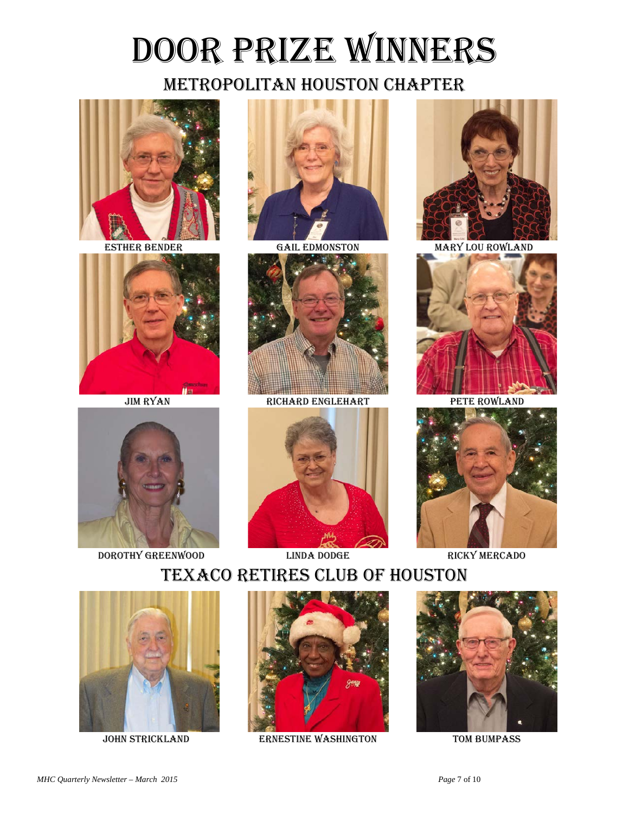# Door Prize Winners

# Metropolitan Houston Chapter







DOROTHY GREENWOOD LINDA DODGE RICKY MERCADO





JIM RYAN RICHARD ENGLEHART PETE ROWLAND





ESTHER BENDER GAIL EDMONSTON MARY LOU ROWLAND





# Texaco Retires club of Houston





JOHN STRICKLAND ERNESTINE WASHINGTON TOM BUMPASS